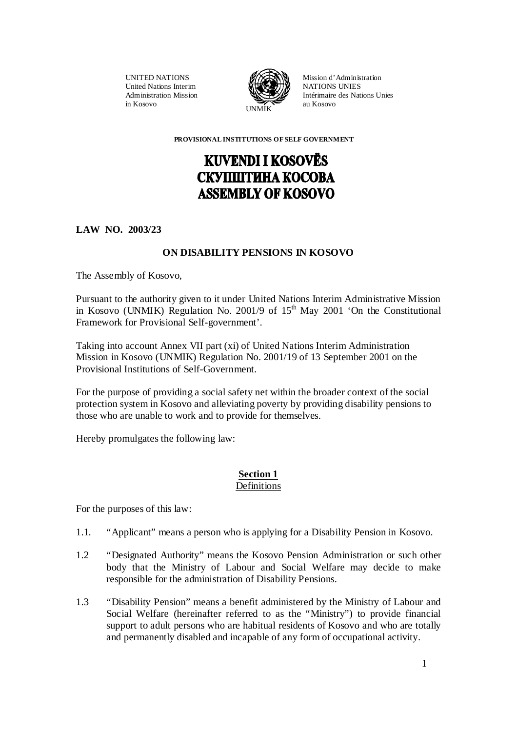UNITED NATIONS United Nations Interim Administration Mission in Kosovo



Mission d'Administration NATIONS UNIES Intérimaire des Nations Unies au Kosovo

 **PROVISIONAL INSTITUTIONS OF SELF GOVERNMENT** 

# **KUVENDI I KOSOVËS** СКУППІТИНА КОСОВА **ASSEMBLY OF KOSOVO**

**LAW NO. 2003/23** 

# **ON DISABILITY PENSIONS IN KOSOVO**

The Assembly of Kosovo,

Pursuant to the authority given to it under United Nations Interim Administrative Mission in Kosovo (UNMIK) Regulation No. 2001/9 of  $15<sup>th</sup>$  May 2001 'On the Constitutional Framework for Provisional Self-government'.

Taking into account Annex VII part (xi) of United Nations Interim Administration Mission in Kosovo (UNMIK) Regulation No. 2001/19 of 13 September 2001 on the Provisional Institutions of Self-Government.

For the purpose of providing a social safety net within the broader context of the social protection system in Kosovo and alleviating poverty by providing disability pensions to those who are unable to work and to provide for themselves.

Hereby promulgates the following law:

## **Section 1** Definitions

For the purposes of this law:

- 1.1. "Applicant" means a person who is applying for a Disability Pension in Kosovo.
- 1.2 "Designated Authority" means the Kosovo Pension Administration or such other body that the Ministry of Labour and Social Welfare may decide to make responsible for the administration of Disability Pensions.
- 1.3 "Disability Pension" means a benefit administered by the Ministry of Labour and Social Welfare (hereinafter referred to as the "Ministry") to provide financial support to adult persons who are habitual residents of Kosovo and who are totally and permanently disabled and incapable of any form of occupational activity.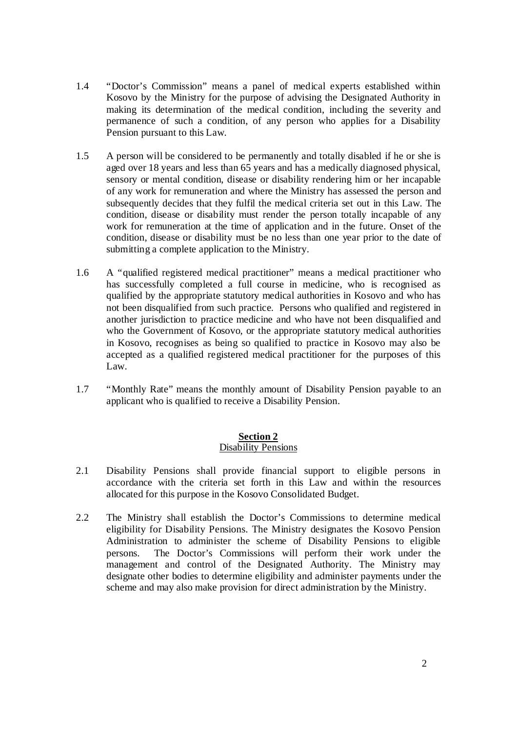- 1.4 "Doctor's Commission" means a panel of medical experts established within Kosovo by the Ministry for the purpose of advising the Designated Authority in making its determination of the medical condition, including the severity and permanence of such a condition, of any person who applies for a Disability Pension pursuant to this Law.
- 1.5 A person will be considered to be permanently and totally disabled if he or she is aged over 18 years and less than 65 years and has a medically diagnosed physical, sensory or mental condition, disease or disability rendering him or her incapable of any work for remuneration and where the Ministry has assessed the person and subsequently decides that they fulfil the medical criteria set out in this Law. The condition, disease or disability must render the person totally incapable of any work for remuneration at the time of application and in the future. Onset of the condition, disease or disability must be no less than one year prior to the date of submitting a complete application to the Ministry.
- 1.6 A "qualified registered medical practitioner" means a medical practitioner who has successfully completed a full course in medicine, who is recognised as qualified by the appropriate statutory medical authorities in Kosovo and who has not been disqualified from such practice. Persons who qualified and registered in another jurisdiction to practice medicine and who have not been disqualified and who the Government of Kosovo, or the appropriate statutory medical authorities in Kosovo, recognises as being so qualified to practice in Kosovo may also be accepted as a qualified registered medical practitioner for the purposes of this Law.
- 1.7 "Monthly Rate" means the monthly amount of Disability Pension payable to an applicant who is qualified to receive a Disability Pension.

#### **Section 2** Disability Pensions

- 2.1 Disability Pensions shall provide financial support to eligible persons in accordance with the criteria set forth in this Law and within the resources allocated for this purpose in the Kosovo Consolidated Budget.
- 2.2 The Ministry shall establish the Doctor's Commissions to determine medical eligibility for Disability Pensions. The Ministry designates the Kosovo Pension Administration to administer the scheme of Disability Pensions to eligible persons. The Doctor's Commissions will perform their work under the management and control of the Designated Authority. The Ministry may designate other bodies to determine eligibility and administer payments under the scheme and may also make provision for direct administration by the Ministry.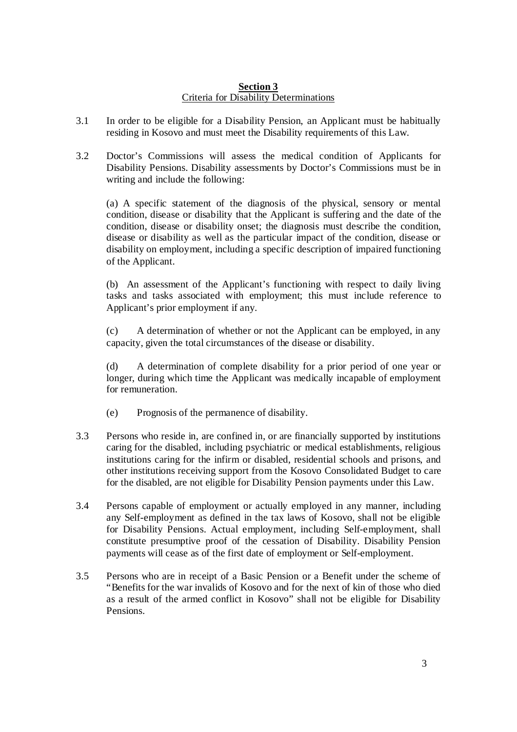# **Section 3** Criteria for Disability Determinations

- 3.1 In order to be eligible for a Disability Pension, an Applicant must be habitually residing in Kosovo and must meet the Disability requirements of this Law.
- 3.2 Doctor's Commissions will assess the medical condition of Applicants for Disability Pensions. Disability assessments by Doctor's Commissions must be in writing and include the following:

(a) A specific statement of the diagnosis of the physical, sensory or mental condition, disease or disability that the Applicant is suffering and the date of the condition, disease or disability onset; the diagnosis must describe the condition, disease or disability as well as the particular impact of the condition, disease or disability on employment, including a specific description of impaired functioning of the Applicant.

(b) An assessment of the Applicant's functioning with respect to daily living tasks and tasks associated with employment; this must include reference to Applicant's prior employment if any.

(c) A determination of whether or not the Applicant can be employed, in any capacity, given the total circumstances of the disease or disability.

(d) A determination of complete disability for a prior period of one year or longer, during which time the Applicant was medically incapable of employment for remuneration.

- (e) Prognosis of the permanence of disability.
- 3.3 Persons who reside in, are confined in, or are financially supported by institutions caring for the disabled, including psychiatric or medical establishments, religious institutions caring for the infirm or disabled, residential schools and prisons, and other institutions receiving support from the Kosovo Consolidated Budget to care for the disabled, are not eligible for Disability Pension payments under this Law.
- 3.4 Persons capable of employment or actually employed in any manner, including any Self-employment as defined in the tax laws of Kosovo, shall not be eligible for Disability Pensions. Actual employment, including Self-employment, shall constitute presumptive proof of the cessation of Disability. Disability Pension payments will cease as of the first date of employment or Self-employment.
- 3.5 Persons who are in receipt of a Basic Pension or a Benefit under the scheme of "Benefits for the war invalids of Kosovo and for the next of kin of those who died as a result of the armed conflict in Kosovo" shall not be eligible for Disability Pensions.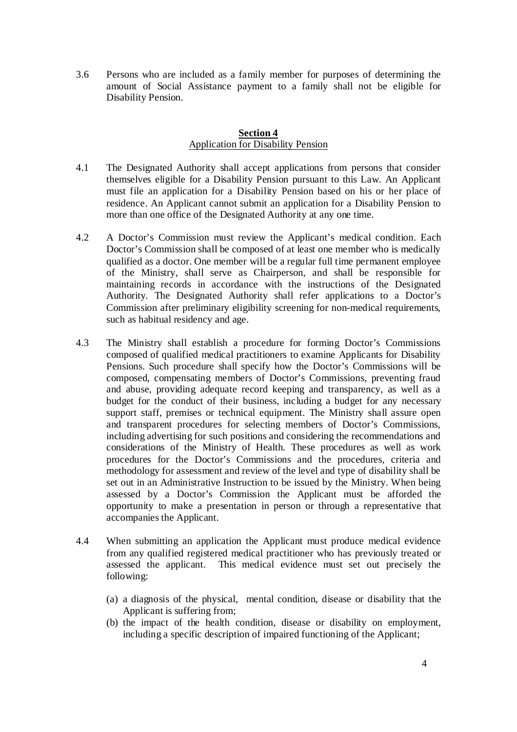3.6 Persons who are included as a family member for purposes of determining the amount of Social Assistance payment to a family shall not be eligible for Disability Pension.

## **Section 4** Application for Disability Pension

- 4.1 The Designated Authority shall accept applications from persons that consider themselves eligible for a Disability Pension pursuant to this Law. An Applicant must file an application for a Disability Pension based on his or her place of residence. An Applicant cannot submit an application for a Disability Pension to more than one office of the Designated Authority at any one time.
- 4.2 A Doctor's Commission must review the Applicant's medical condition. Each Doctor's Commission shall be composed of at least one member who is medically qualified as a doctor. One member will be a regular full time permanent employee of the Ministry, shall serve as Chairperson, and shall be responsible for maintaining records in accordance with the instructions of the Designated Authority. The Designated Authority shall refer applications to a Doctor's Commission after preliminary eligibility screening for non-medical requirements, such as habitual residency and age.
- 4.3 The Ministry shall establish a procedure for forming Doctor's Commissions composed of qualified medical practitioners to examine Applicants for Disability Pensions. Such procedure shall specify how the Doctor's Commissions will be composed, compensating members of Doctor's Commissions, preventing fraud and abuse, providing adequate record keeping and transparency, as well as a budget for the conduct of their business, including a budget for any necessary support staff, premises or technical equipment. The Ministry shall assure open and transparent procedures for selecting members of Doctor's Commissions, including advertising for such positions and considering the recommendations and considerations of the Ministry of Health. These procedures as well as work procedures for the Doctor's Commissions and the procedures, criteria and methodology for assessment and review of the level and type of disability shall be set out in an Administrative Instruction to be issued by the Ministry. When being assessed by a Doctor's Commission the Applicant must be afforded the opportunity to make a presentation in person or through a representative that accompanies the Applicant.
- 4.4 When submitting an application the Applicant must produce medical evidence from any qualified registered medical practitioner who has previously treated or assessed the applicant. This medical evidence must set out precisely the following:
	- (a) a diagnosis of the physical, mental condition, disease or disability that the Applicant is suffering from;
	- (b) the impact of the health condition, disease or disability on employment, including a specific description of impaired functioning of the Applicant;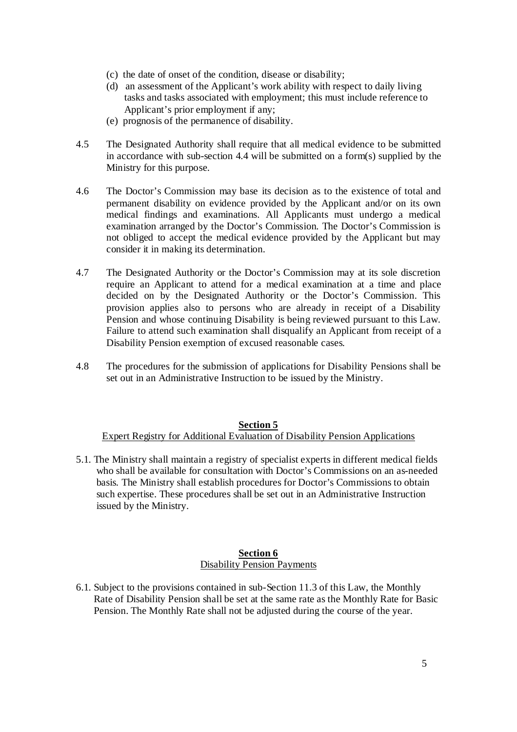- (c) the date of onset of the condition, disease or disability;
- (d) an assessment of the Applicant's work ability with respect to daily living tasks and tasks associated with employment; this must include reference to Applicant's prior employment if any;
- (e) prognosis of the permanence of disability.
- 4.5 The Designated Authority shall require that all medical evidence to be submitted in accordance with sub-section 4.4 will be submitted on a form(s) supplied by the Ministry for this purpose.
- 4.6 The Doctor's Commission may base its decision as to the existence of total and permanent disability on evidence provided by the Applicant and/or on its own medical findings and examinations. All Applicants must undergo a medical examination arranged by the Doctor's Commission. The Doctor's Commission is not obliged to accept the medical evidence provided by the Applicant but may consider it in making its determination.
- 4.7 The Designated Authority or the Doctor's Commission may at its sole discretion require an Applicant to attend for a medical examination at a time and place decided on by the Designated Authority or the Doctor's Commission. This provision applies also to persons who are already in receipt of a Disability Pension and whose continuing Disability is being reviewed pursuant to this Law. Failure to attend such examination shall disqualify an Applicant from receipt of a Disability Pension exemption of excused reasonable cases.
- 4.8 The procedures for the submission of applications for Disability Pensions shall be set out in an Administrative Instruction to be issued by the Ministry.

## **Section 5** Expert Registry for Additional Evaluation of Disability Pension Applications

5.1. The Ministry shall maintain a registry of specialist experts in different medical fields who shall be available for consultation with Doctor's Commissions on an as-needed basis. The Ministry shall establish procedures for Doctor's Commissions to obtain such expertise. These procedures shall be set out in an Administrative Instruction issued by the Ministry.

## **Section 6** Disability Pension Payments

6.1. Subject to the provisions contained in sub-Section 11.3 of this Law, the Monthly Rate of Disability Pension shall be set at the same rate as the Monthly Rate for Basic Pension. The Monthly Rate shall not be adjusted during the course of the year.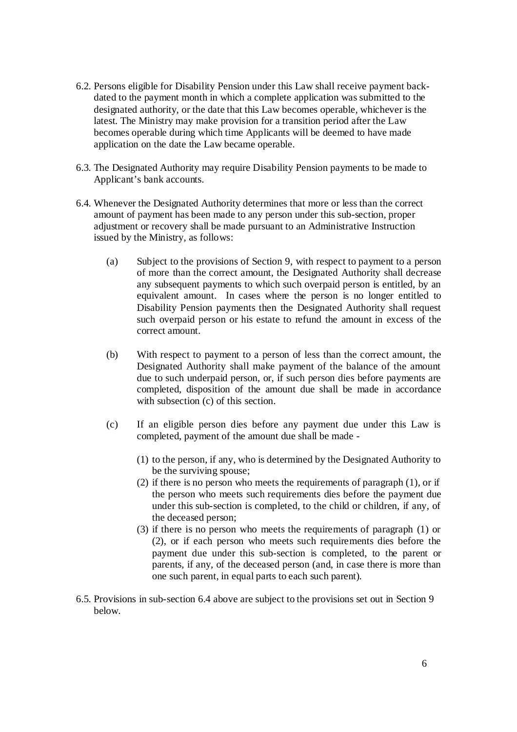- 6.2. Persons eligible for Disability Pension under this Law shall receive payment back dated to the payment month in which a complete application was submitted to the designated authority, or the date that this Law becomes operable, whichever is the latest. The Ministry may make provision for a transition period after the Law becomes operable during which time Applicants will be deemed to have made application on the date the Law became operable.
- 6.3. The Designated Authority may require Disability Pension payments to be made to Applicant's bank accounts.
- 6.4. Whenever the Designated Authority determines that more or less than the correct amount of payment has been made to any person under this sub-section, proper adjustment or recovery shall be made pursuant to an Administrative Instruction issued by the Ministry, as follows:
	- (a) Subject to the provisions of Section 9, with respect to payment to a person of more than the correct amount, the Designated Authority shall decrease any subsequent payments to which such overpaid person is entitled, by an equivalent amount. In cases where the person is no longer entitled to Disability Pension payments then the Designated Authority shall request such overpaid person or his estate to refund the amount in excess of the correct amount.
	- (b) With respect to payment to a person of less than the correct amount, the Designated Authority shall make payment of the balance of the amount due to such underpaid person, or, if such person dies before payments are completed, disposition of the amount due shall be made in accordance with subsection (c) of this section.
	- (c) If an eligible person dies before any payment due under this Law is completed, payment of the amount due shall be made -
		- (1) to the person, if any, who is determined by the Designated Authority to be the surviving spouse;
		- (2) if there is no person who meets the requirements of paragraph (1), or if the person who meets such requirements dies before the payment due under this sub-section is completed, to the child or children, if any, of the deceased person;
		- (3) if there is no person who meets the requirements of paragraph (1) or (2), or if each person who meets such requirements dies before the payment due under this sub-section is completed, to the parent or parents, if any, of the deceased person (and, in case there is more than one such parent, in equal parts to each such parent).
- 6.5. Provisions in sub-section 6.4 above are subject to the provisions set out in Section 9 below.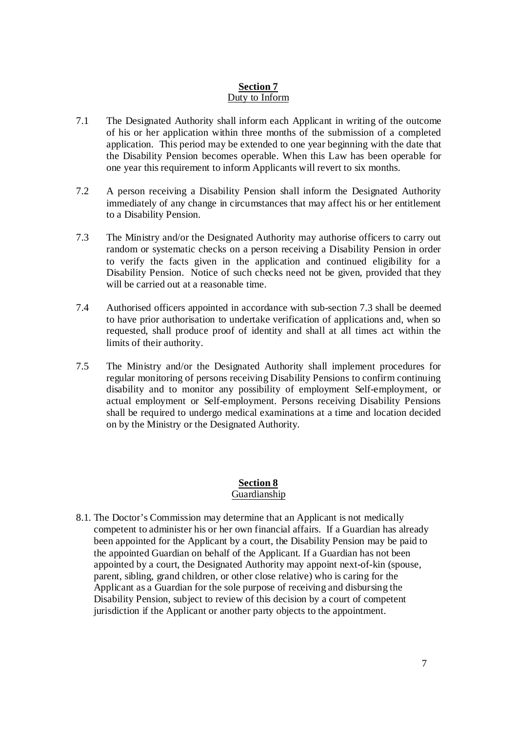# **Section 7** Duty to Inform

- 7.1 The Designated Authority shall inform each Applicant in writing of the outcome of his or her application within three months of the submission of a completed application. This period may be extended to one year beginning with the date that the Disability Pension becomes operable. When this Law has been operable for one year this requirement to inform Applicants will revert to six months.
- 7.2 A person receiving a Disability Pension shall inform the Designated Authority immediately of any change in circumstances that may affect his or her entitlement to a Disability Pension.
- 7.3 The Ministry and/or the Designated Authority may authorise officers to carry out random or systematic checks on a person receiving a Disability Pension in order to verify the facts given in the application and continued eligibility for a Disability Pension. Notice of such checks need not be given, provided that they will be carried out at a reasonable time.
- 7.4 Authorised officers appointed in accordance with sub-section 7.3 shall be deemed to have prior authorisation to undertake verification of applications and, when so requested, shall produce proof of identity and shall at all times act within the limits of their authority.
- 7.5 The Ministry and/or the Designated Authority shall implement procedures for regular monitoring of persons receiving Disability Pensions to confirm continuing disability and to monitor any possibility of employment Self-employment, or actual employment or Self-employment. Persons receiving Disability Pensions shall be required to undergo medical examinations at a time and location decided on by the Ministry or the Designated Authority.

## **Section 8** Guardianship

8.1. The Doctor's Commission may determine that an Applicant is not medically competent to administer his or her own financial affairs. If a Guardian has already been appointed for the Applicant by a court, the Disability Pension may be paid to the appointed Guardian on behalf of the Applicant. If a Guardian has not been appointed by a court, the Designated Authority may appoint next-of-kin (spouse, parent, sibling, grand children, or other close relative) who is caring for the Applicant as a Guardian for the sole purpose of receiving and disbursing the Disability Pension, subject to review of this decision by a court of competent jurisdiction if the Applicant or another party objects to the appointment.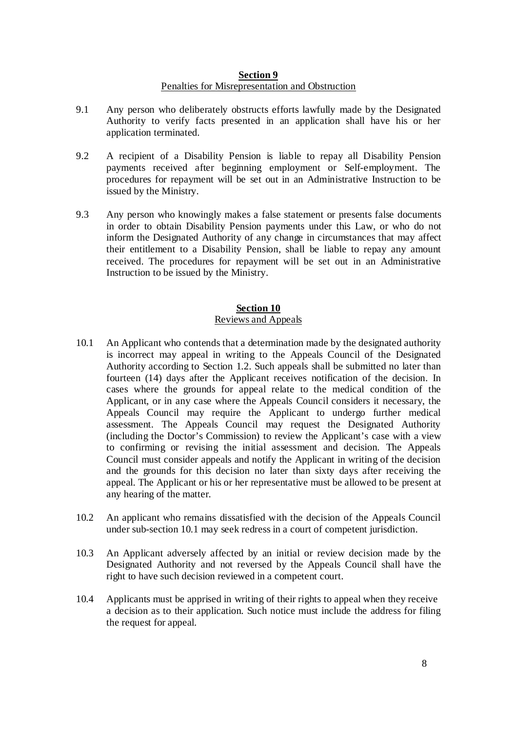## **Section 9** Penalties for Misrepresentation and Obstruction

- 9.1 Any person who deliberately obstructs efforts lawfully made by the Designated Authority to verify facts presented in an application shall have his or her application terminated.
- 9.2 A recipient of a Disability Pension is liable to repay all Disability Pension payments received after beginning employment or Self-employment. The procedures for repayment will be set out in an Administrative Instruction to be issued by the Ministry.
- 9.3 Any person who knowingly makes a false statement or presents false documents in order to obtain Disability Pension payments under this Law, or who do not inform the Designated Authority of any change in circumstances that may affect their entitlement to a Disability Pension, shall be liable to repay any amount received. The procedures for repayment will be set out in an Administrative Instruction to be issued by the Ministry.

# **Section 10** Reviews and Appeals

- 10.1 An Applicant who contends that a determination made by the designated authority is incorrect may appeal in writing to the Appeals Council of the Designated Authority according to Section 1.2. Such appeals shall be submitted no later than fourteen (14) days after the Applicant receives notification of the decision. In cases where the grounds for appeal relate to the medical condition of the Applicant, or in any case where the Appeals Council considers it necessary, the Appeals Council may require the Applicant to undergo further medical assessment. The Appeals Council may request the Designated Authority (including the Doctor's Commission) to review the Applicant's case with a view to confirming or revising the initial assessment and decision. The Appeals Council must consider appeals and notify the Applicant in writing of the decision and the grounds for this decision no later than sixty days after receiving the appeal. The Applicant or his or her representative must be allowed to be present at any hearing of the matter.
- 10.2 An applicant who remains dissatisfied with the decision of the Appeals Council under sub-section 10.1 may seek redress in a court of competent jurisdiction.
- 10.3 An Applicant adversely affected by an initial or review decision made by the Designated Authority and not reversed by the Appeals Council shall have the right to have such decision reviewed in a competent court.
- 10.4 Applicants must be apprised in writing of their rights to appeal when they receive a decision as to their application. Such notice must include the address for filing the request for appeal.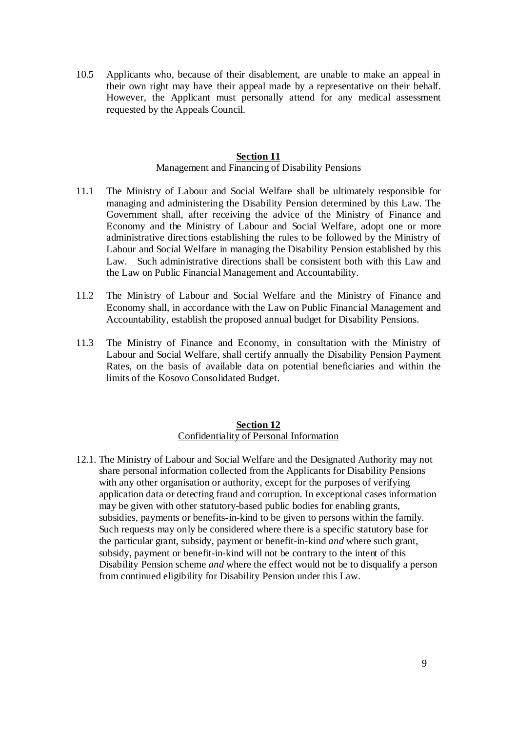10.5 Applicants who, because of their disablement, are unable to make an appeal in their own right may have their appeal made by a representative on their behalf. However, the Applicant must personally attend for any medical assessment requested by the Appeals Council.

## **Section 11** Management and Financing of Disability Pensions

- 11.1 The Ministry of Labour and Social Welfare shall be ultimately responsible for managing and administering the Disability Pension determined by this Law. The Government shall, after receiving the advice of the Ministry of Finance and Economy and the Ministry of Labour and Social Welfare, adopt one or more administrative directions establishing the rules to be followed by the Ministry of Labour and Social Welfare in managing the Disability Pension established by this Law. Such administrative directions shall be consistent both with this Law and the Law on Public Financial Management and Accountability.
- 11.2 The Ministry of Labour and Social Welfare and the Ministry of Finance and Economy shall, in accordance with the Law on Public Financial Management and Accountability, establish the proposed annual budget for Disability Pensions.
- 11.3 The Ministry of Finance and Economy, in consultation with the Ministry of Labour and Social Welfare, shall certify annually the Disability Pension Payment Rates, on the basis of available data on potential beneficiaries and within the limits of the Kosovo Consolidated Budget.

## **Section 12** Confidentiality of Personal Information

12.1. The Ministry of Labour and Social Welfare and the Designated Authority may not share personal information collected from the Applicants for Disability Pensions with any other organisation or authority, except for the purposes of verifying application data or detecting fraud and corruption. In exceptional cases information may be given with other statutory-based public bodies for enabling grants, subsidies, payments or benefits-in-kind to be given to persons within the family. Such requests may only be considered where there is a specific statutory base for the particular grant, subsidy, payment or benefit-in-kind *and* where such grant, subsidy, payment or benefit-in-kind will not be contrary to the intent of this Disability Pension scheme *and* where the effect would not be to disqualify a person from continued eligibility for Disability Pension under this Law.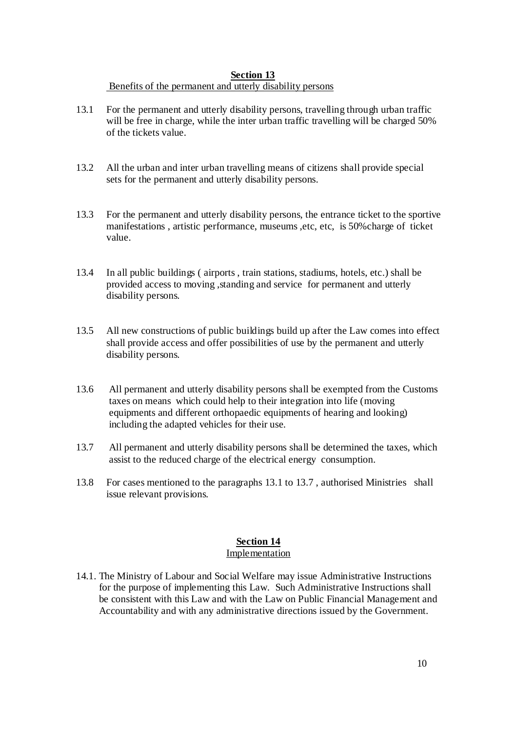# **Section 13**

## Benefits of the permanent and utterly disability persons

- 13.1 For the permanent and utterly disability persons, travelling through urban traffic will be free in charge, while the inter urban traffic travelling will be charged 50% of the tickets value.
- 13.2 All the urban and inter urban travelling means of citizens shall provide special sets for the permanent and utterly disability persons.
- 13.3 For the permanent and utterly disability persons, the entrance ticket to the sportive manifestations , artistic performance, museums ,etc, etc, is 50%charge of ticket value.
- 13.4 In all public buildings ( airports , train stations, stadiums, hotels, etc.) shall be provided access to moving ,standing and service for permanent and utterly disability persons.
- 13.5 All new constructions of public buildings build up after the Law comes into effect shall provide access and offer possibilities of use by the permanent and utterly disability persons.
- 13.6 All permanent and utterly disability persons shall be exempted from the Customs taxes on means which could help to their integration into life (moving equipments and different orthopaedic equipments of hearing and looking) including the adapted vehicles for their use.
- 13.7 All permanent and utterly disability persons shall be determined the taxes, which assist to the reduced charge of the electrical energy consumption.
- 13.8 For cases mentioned to the paragraphs 13.1 to 13.7 , authorised Ministries shall issue relevant provisions.

## **Section 14** Implementation

14.1. The Ministry of Labour and Social Welfare may issue Administrative Instructions for the purpose of implementing this Law. Such Administrative Instructions shall be consistent with this Law and with the Law on Public Financial Management and Accountability and with any administrative directions issued by the Government.